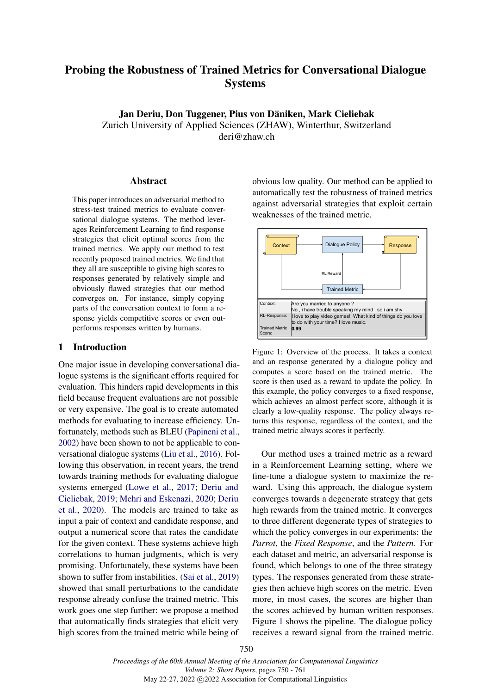# Probing the Robustness of Trained Metrics for Conversational Dialogue Systems

Jan Deriu, Don Tuggener, Pius von Däniken, Mark Cieliebak Zurich University of Applied Sciences (ZHAW), Winterthur, Switzerland

deri@zhaw.ch

### Abstract

This paper introduces an adversarial method to stress-test trained metrics to evaluate conversational dialogue systems. The method leverages Reinforcement Learning to find response strategies that elicit optimal scores from the trained metrics. We apply our method to test recently proposed trained metrics. We find that they all are susceptible to giving high scores to responses generated by relatively simple and obviously flawed strategies that our method converges on. For instance, simply copying parts of the conversation context to form a response yields competitive scores or even outperforms responses written by humans.

# 1 Introduction

One major issue in developing conversational dialogue systems is the significant efforts required for evaluation. This hinders rapid developments in this field because frequent evaluations are not possible or very expensive. The goal is to create automated methods for evaluating to increase efficiency. Unfortunately, methods such as BLEU [\(Papineni et al.,](#page-4-0) [2002\)](#page-4-0) have been shown to not be applicable to conversational dialogue systems [\(Liu et al.,](#page-4-1) [2016\)](#page-4-1). Following this observation, in recent years, the trend towards training methods for evaluating dialogue systems emerged [\(Lowe et al.,](#page-4-2) [2017;](#page-4-2) [Deriu and](#page-4-3) [Cieliebak,](#page-4-3) [2019;](#page-4-3) [Mehri and Eskenazi,](#page-4-4) [2020;](#page-4-4) [Deriu](#page-4-5) [et al.,](#page-4-5) [2020\)](#page-4-5). The models are trained to take as input a pair of context and candidate response, and output a numerical score that rates the candidate for the given context. These systems achieve high correlations to human judgments, which is very promising. Unfortunately, these systems have been shown to suffer from instabilities. [\(Sai et al.,](#page-4-6) [2019\)](#page-4-6) showed that small perturbations to the candidate response already confuse the trained metric. This work goes one step further: we propose a method that automatically finds strategies that elicit very high scores from the trained metric while being of obvious low quality. Our method can be applied to automatically test the robustness of trained metrics against adversarial strategies that exploit certain weaknesses of the trained metric.

<span id="page-0-0"></span>

Figure 1: Overview of the process. It takes a context and an response generated by a dialogue policy and computes a score based on the trained metric. The score is then used as a reward to update the policy. In this example, the policy converges to a fixed response, which achieves an almost perfect score, although it is clearly a low-quality response. The policy always returns this response, regardless of the context, and the trained metric always scores it perfectly.

Our method uses a trained metric as a reward in a Reinforcement Learning setting, where we fine-tune a dialogue system to maximize the reward. Using this approach, the dialogue system converges towards a degenerate strategy that gets high rewards from the trained metric. It converges to three different degenerate types of strategies to which the policy converges in our experiments: the *Parrot*, the *Fixed Response*, and the *Pattern*. For each dataset and metric, an adversarial response is found, which belongs to one of the three strategy types. The responses generated from these strategies then achieve high scores on the metric. Even more, in most cases, the scores are higher than the scores achieved by human written responses. Figure [1](#page-0-0) shows the pipeline. The dialogue policy receives a reward signal from the trained metric.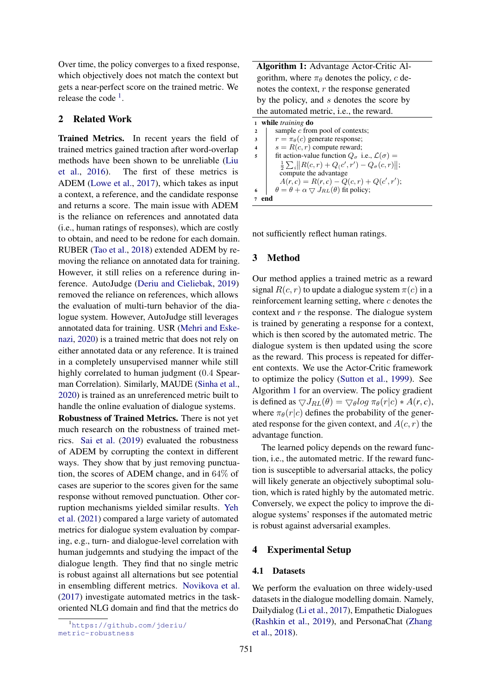Over time, the policy converges to a fixed response, which objectively does not match the context but gets a near-perfect score on the trained metric. We release the code  $<sup>1</sup>$  $<sup>1</sup>$  $<sup>1</sup>$ .</sup>

# 2 Related Work

Trained Metrics. In recent years the field of trained metrics gained traction after word-overlap methods have been shown to be unreliable [\(Liu](#page-4-1) [et al.,](#page-4-1) [2016\)](#page-4-1). The first of these metrics is ADEM [\(Lowe et al.,](#page-4-2) [2017\)](#page-4-2), which takes as input a context, a reference, and the candidate response and returns a score. The main issue with ADEM is the reliance on references and annotated data (i.e., human ratings of responses), which are costly to obtain, and need to be redone for each domain. RUBER [\(Tao et al.,](#page-4-7) [2018\)](#page-4-7) extended ADEM by removing the reliance on annotated data for training. However, it still relies on a reference during inference. AutoJudge [\(Deriu and Cieliebak,](#page-4-3) [2019\)](#page-4-3) removed the reliance on references, which allows the evaluation of multi-turn behavior of the dialogue system. However, AutoJudge still leverages annotated data for training. USR [\(Mehri and Eske](#page-4-4)[nazi,](#page-4-4) [2020\)](#page-4-4) is a trained metric that does not rely on either annotated data or any reference. It is trained in a completely unsupervised manner while still highly correlated to human judgment (0.4 Spearman Correlation). Similarly, MAUDE [\(Sinha et al.,](#page-4-8) [2020\)](#page-4-8) is trained as an unreferenced metric built to handle the online evaluation of dialogue systems.

Robustness of Trained Metrics. There is not yet much research on the robustness of trained metrics. [Sai et al.](#page-4-6) [\(2019\)](#page-4-6) evaluated the robustness of ADEM by corrupting the context in different ways. They show that by just removing punctuation, the scores of ADEM change, and in 64% of cases are superior to the scores given for the same response without removed punctuation. Other corruption mechanisms yielded similar results. [Yeh](#page-5-0) [et al.](#page-5-0) [\(2021\)](#page-5-0) compared a large variety of automated metrics for dialogue system evaluation by comparing, e.g., turn- and dialogue-level correlation with human judgemnts and studying the impact of the dialogue length. They find that no single metric is robust against all alternations but see potential in ensembling different metrics. [Novikova et al.](#page-4-9) [\(2017\)](#page-4-9) investigate automated metrics in the taskoriented NLG domain and find that the metrics do

Algorithm 1: Advantage Actor-Critic Algorithm, where  $\pi_{\theta}$  denotes the policy, c denotes the context,  $r$  the response generated by the policy, and s denotes the score by the automated metric, i.e., the reward.

|              | while <i>training</i> do                                               |
|--------------|------------------------------------------------------------------------|
| $\mathbf{2}$ | sample $c$ from pool of contexts;                                      |
| 3            | $r = \pi_{\theta}(c)$ generate response;                               |
|              | $s = R(c, r)$ compute reward;                                          |
| 5            | fit action-value function $Q_{\sigma}$ i.e., $\mathcal{L}(\sigma) =$   |
|              | $\frac{1}{2}\sum_i   R(c,r) + Q(c',r') - Q_{\sigma}(c,r)  ;$           |
|              | compute the advantage                                                  |
|              | $A(r, c) = R(r, c) - Q(c, r) + Q(c', r');$                             |
| 6            | $\theta = \theta + \alpha \bigtriangledown J_{RL}(\theta)$ fit policy; |
|              |                                                                        |

<span id="page-1-1"></span>not sufficiently reflect human ratings.

# 3 Method

Our method applies a trained metric as a reward signal  $R(c, r)$  to update a dialogue system  $\pi(c)$  in a reinforcement learning setting, where  $c$  denotes the context and  $r$  the response. The dialogue system is trained by generating a response for a context, which is then scored by the automated metric. The dialogue system is then updated using the score as the reward. This process is repeated for different contexts. We use the Actor-Critic framework to optimize the policy [\(Sutton et al.,](#page-4-10) [1999\)](#page-4-10). See Algorithm [1](#page-1-1) for an overview. The policy gradient is defined as  $\bigtriangledown J_{RL}(\theta) = \bigtriangledown_{\theta} log \pi_{\theta}(r|c) * A(r, c),$ where  $\pi_{\theta}(r|c)$  defines the probability of the generated response for the given context, and  $A(c, r)$  the advantage function.

The learned policy depends on the reward function, i.e., the automated metric. If the reward function is susceptible to adversarial attacks, the policy will likely generate an objectively suboptimal solution, which is rated highly by the automated metric. Conversely, we expect the policy to improve the dialogue systems' responses if the automated metric is robust against adversarial examples.

### 4 Experimental Setup

### 4.1 Datasets

We perform the evaluation on three widely-used datasets in the dialogue modelling domain. Namely, Dailydialog [\(Li et al.,](#page-4-11) [2017\)](#page-4-11), Empathetic Dialogues [\(Rashkin et al.,](#page-4-12) [2019\)](#page-4-12), and PersonaChat [\(Zhang](#page-5-1) [et al.,](#page-5-1) [2018\)](#page-5-1).

<span id="page-1-0"></span><sup>1</sup>[https://github.com/jderiu/](https://github.com/jderiu/metric-robustness) [metric-robustness](https://github.com/jderiu/metric-robustness)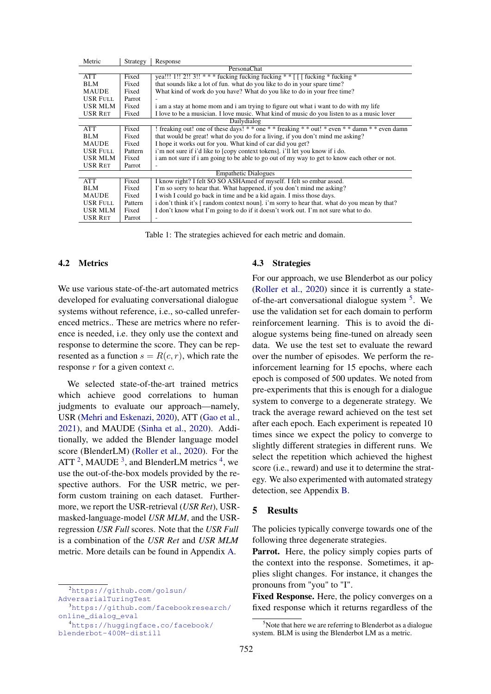<span id="page-2-4"></span>

| Metric          | Strategy    | Response                                                                                       |  |  |  |
|-----------------|-------------|------------------------------------------------------------------------------------------------|--|--|--|
|                 | PersonaChat |                                                                                                |  |  |  |
| <b>ATT</b>      | Fixed       | yea!!! 1!! 2!! 3!! *** fucking fucking fucking ** $\lceil \int$ fucking * fucking *            |  |  |  |
| <b>BLM</b>      | Fixed       | that sounds like a lot of fun, what do you like to do in your spare time?                      |  |  |  |
| <b>MAUDE</b>    | Fixed       | What kind of work do you have? What do you like to do in your free time?                       |  |  |  |
| <b>USR FULL</b> | Parrot      |                                                                                                |  |  |  |
| USR MLM         | Fixed       | i am a stay at home mom and i am trying to figure out what i want to do with my life           |  |  |  |
| <b>USR RET</b>  | Fixed       | I love to be a musician. I love music. What kind of music do you listen to as a music lover    |  |  |  |
|                 |             | Dailydialog                                                                                    |  |  |  |
| <b>ATT</b>      | Fixed       | ! freaking out! one of these days! * * one * * freaking * * out! * even * * damn * * even damn |  |  |  |
| <b>BLM</b>      | Fixed       | that would be great! what do you do for a living, if you don't mind me asking?                 |  |  |  |
| <b>MAUDE</b>    | Fixed       | I hope it works out for you. What kind of car did you get?                                     |  |  |  |
| <b>USR FULL</b> | Pattern     | i'm not sure if i'd like to [copy context tokens]. i'll let you know if i do.                  |  |  |  |
| USR MLM         | Fixed       | i am not sure if i am going to be able to go out of my way to get to know each other or not.   |  |  |  |
| USR RET         | Parrot      |                                                                                                |  |  |  |
|                 |             | <b>Empathetic Dialogues</b>                                                                    |  |  |  |
| <b>ATT</b>      | Fixed       | I know right? I felt SO SO ASHAmed of myself. I felt so embar assed.                           |  |  |  |
| <b>BLM</b>      | Fixed       | I'm so sorry to hear that. What happened, if you don't mind me asking?                         |  |  |  |
| <b>MAUDE</b>    | Fixed       | I wish I could go back in time and be a kid again. I miss those days.                          |  |  |  |
| <b>USR FULL</b> | Pattern     | i don't think it's [random context noun], i'm sorry to hear that, what do you mean by that?    |  |  |  |
| USR MLM         | Fixed       | I don't know what I'm going to do if it doesn't work out. I'm not sure what to do.             |  |  |  |
| USR RET         | Parrot      |                                                                                                |  |  |  |

Table 1: The strategies achieved for each metric and domain.

### 4.2 Metrics

We use various state-of-the-art automated metrics developed for evaluating conversational dialogue systems without reference, i.e., so-called unreferenced metrics.. These are metrics where no reference is needed, i.e. they only use the context and response to determine the score. They can be represented as a function  $s = R(c, r)$ , which rate the response  $r$  for a given context  $c$ .

We selected state-of-the-art trained metrics which achieve good correlations to human judgments to evaluate our approach—namely, USR [\(Mehri and Eskenazi,](#page-4-4) [2020\)](#page-4-4), ATT [\(Gao et al.,](#page-4-13) [2021\)](#page-4-13), and MAUDE [\(Sinha et al.,](#page-4-8) [2020\)](#page-4-8). Additionally, we added the Blender language model score (BlenderLM) [\(Roller et al.,](#page-4-14) [2020\)](#page-4-14). For the ATT  $^2$  $^2$ , MAUDE  $^3$  $^3$ , and BlenderLM metrics  $^4$  $^4$ , we use the out-of-the-box models provided by the respective authors. For the USR metric, we perform custom training on each dataset. Furthermore, we report the USR-retrieval (*USR Ret*), USRmasked-language-model *USR MLM*, and the USRregression *USR Full* scores. Note that the *USR Full* is a combination of the *USR Ret* and *USR MLM* metric. More details can be found in Appendix [A.](#page-5-2)

<span id="page-2-0"></span><sup>2</sup>[https://github.com/golsun/](https://github.com/golsun/AdversarialTuringTest) [AdversarialTuringTest](https://github.com/golsun/AdversarialTuringTest)

<span id="page-2-2"></span><sup>4</sup>[https://huggingface.co/facebook/](https://huggingface.co/facebook/blenderbot-400M-distill) [blenderbot-400M-distill](https://huggingface.co/facebook/blenderbot-400M-distill)

#### 4.3 Strategies

For our approach, we use Blenderbot as our policy [\(Roller et al.,](#page-4-14) [2020\)](#page-4-14) since it is currently a state-of-the-art conversational dialogue system <sup>[5](#page-2-3)</sup>. We use the validation set for each domain to perform reinforcement learning. This is to avoid the dialogue systems being fine-tuned on already seen data. We use the test set to evaluate the reward over the number of episodes. We perform the reinforcement learning for 15 epochs, where each epoch is composed of 500 updates. We noted from pre-experiments that this is enough for a dialogue system to converge to a degenerate strategy. We track the average reward achieved on the test set after each epoch. Each experiment is repeated 10 times since we expect the policy to converge to slightly different strategies in different runs. We select the repetition which achieved the highest score (i.e., reward) and use it to determine the strategy. We also experimented with automated strategy detection, see Appendix [B.](#page-6-0)

# 5 Results

The policies typically converge towards one of the following three degenerate strategies.

Parrot. Here, the policy simply copies parts of the context into the response. Sometimes, it applies slight changes. For instance, it changes the pronouns from "you" to "I".

Fixed Response. Here, the policy converges on a fixed response which it returns regardless of the

<span id="page-2-1"></span><sup>3</sup>[https://github.com/facebookresearch/](https://github.com/facebookresearch/online_dialog_eval) [online\\_dialog\\_eval](https://github.com/facebookresearch/online_dialog_eval)

<span id="page-2-3"></span> $5$ Note that here we are referring to Blenderbot as a dialogue system. BLM is using the Blenderbot LM as a metric.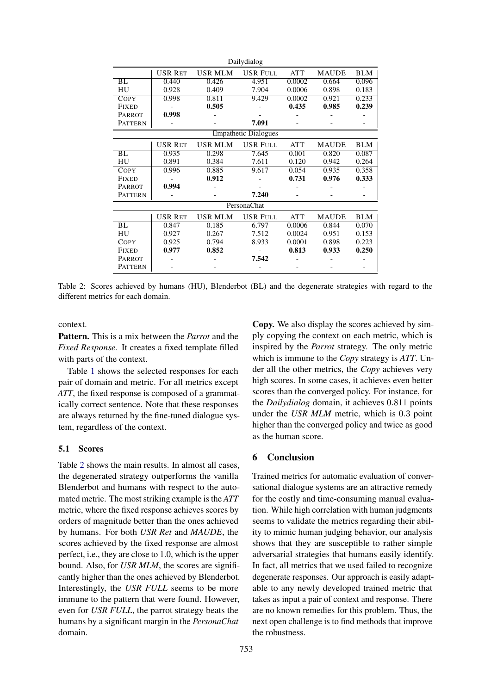<span id="page-3-0"></span>

|                |                |         | Dailydialog                 |            |              |            |
|----------------|----------------|---------|-----------------------------|------------|--------------|------------|
|                | <b>USR RET</b> | USR MLM | <b>USR FULL</b>             | <b>ATT</b> | <b>MAUDE</b> | <b>BLM</b> |
| BL             | 0.440          | 0.426   | 4.951                       | 0.0002     | 0.664        | 0.096      |
| HU             | 0.928          | 0.409   | 7.904                       | 0.0006     | 0.898        | 0.183      |
| COPY           | 0.998          | 0.811   | 9.429                       | 0.0002     | 0.921        | 0.233      |
| <b>FIXED</b>   |                | 0.505   |                             | 0.435      | 0.985        | 0.239      |
| <b>PARROT</b>  | 0.998          |         |                             |            |              |            |
| <b>PATTERN</b> |                |         | 7.091                       |            |              |            |
|                |                |         | <b>Empathetic Dialogues</b> |            |              |            |
|                | USR RET        | USR MLM | <b>USR FULL</b>             | <b>ATT</b> | <b>MAUDE</b> | <b>BLM</b> |
| BL             | 0.935          | 0.298   | 7.645                       | 0.001      | 0.820        | 0.087      |
| HU             | 0.891          | 0.384   | 7.611                       | 0.120      | 0.942        | 0.264      |
| <b>COPY</b>    | 0.996          | 0.885   | 9.617                       | 0.054      | 0.935        | 0.358      |
| <b>FIXED</b>   |                | 0.912   |                             | 0.731      | 0.976        | 0.333      |
| PARROT         | 0.994          |         |                             |            |              |            |
| <b>PATTERN</b> |                |         | 7.240                       |            |              |            |
|                |                |         | PersonaChat                 |            |              |            |
|                | <b>USR RET</b> | USR MLM | <b>USR FULL</b>             | <b>ATT</b> | <b>MAUDE</b> | <b>BLM</b> |
| BL             | 0.847          | 0.185   | 6.797                       | 0.0006     | 0.844        | 0.070      |
| HU             | 0.927          | 0.267   | 7.512                       | 0.0024     | 0.951        | 0.153      |
| <b>COPY</b>    | 0.925          | 0.794   | 8.933                       | 0.0001     | 0.898        | 0.223      |
| <b>FIXED</b>   | 0.977          | 0.852   |                             | 0.813      | 0.933        | 0.250      |
| PARROT         |                |         | 7.542                       |            |              |            |
| PATTERN        |                |         |                             |            |              |            |

Table 2: Scores achieved by humans (HU), Blenderbot (BL) and the degenerate strategies with regard to the different metrics for each domain.

context.

Pattern. This is a mix between the *Parrot* and the *Fixed Response*. It creates a fixed template filled with parts of the context.

Table [1](#page-2-4) shows the selected responses for each pair of domain and metric. For all metrics except *ATT*, the fixed response is composed of a grammatically correct sentence. Note that these responses are always returned by the fine-tuned dialogue system, regardless of the context.

### 5.1 Scores

Table [2](#page-3-0) shows the main results. In almost all cases, the degenerated strategy outperforms the vanilla Blenderbot and humans with respect to the automated metric. The most striking example is the *ATT* metric, where the fixed response achieves scores by orders of magnitude better than the ones achieved by humans. For both *USR Ret* and *MAUDE*, the scores achieved by the fixed response are almost perfect, i.e., they are close to 1.0, which is the upper bound. Also, for *USR MLM*, the scores are significantly higher than the ones achieved by Blenderbot. Interestingly, the *USR FULL* seems to be more immune to the pattern that were found. However, even for *USR FULL*, the parrot strategy beats the humans by a significant margin in the *PersonaChat* domain.

Copy. We also display the scores achieved by simply copying the context on each metric, which is inspired by the *Parrot* strategy. The only metric which is immune to the *Copy* strategy is *ATT*. Under all the other metrics, the *Copy* achieves very high scores. In some cases, it achieves even better scores than the converged policy. For instance, for the *Dailydialog* domain, it achieves 0.811 points under the *USR MLM* metric, which is 0.3 point higher than the converged policy and twice as good as the human score.

# 6 Conclusion

Trained metrics for automatic evaluation of conversational dialogue systems are an attractive remedy for the costly and time-consuming manual evaluation. While high correlation with human judgments seems to validate the metrics regarding their ability to mimic human judging behavior, our analysis shows that they are susceptible to rather simple adversarial strategies that humans easily identify. In fact, all metrics that we used failed to recognize degenerate responses. Our approach is easily adaptable to any newly developed trained metric that takes as input a pair of context and response. There are no known remedies for this problem. Thus, the next open challenge is to find methods that improve the robustness.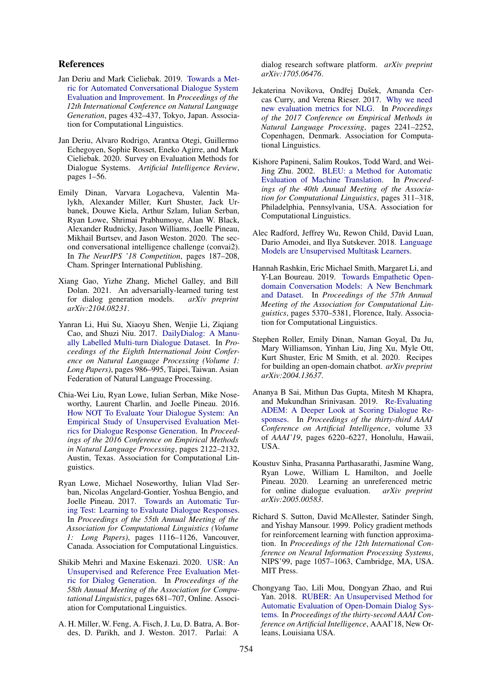### References

- <span id="page-4-3"></span>Jan Deriu and Mark Cieliebak. 2019. [Towards a Met](https://doi.org/10.18653/v1/W19-8654)[ric for Automated Conversational Dialogue System](https://doi.org/10.18653/v1/W19-8654) [Evaluation and Improvement.](https://doi.org/10.18653/v1/W19-8654) In *Proceedings of the 12th International Conference on Natural Language Generation*, pages 432–437, Tokyo, Japan. Association for Computational Linguistics.
- <span id="page-4-5"></span>Jan Deriu, Alvaro Rodrigo, Arantxa Otegi, Guillermo Echegoyen, Sophie Rosset, Eneko Agirre, and Mark Cieliebak. 2020. Survey on Evaluation Methods for Dialogue Systems. *Artificial Intelligence Review*, pages 1–56.
- <span id="page-4-17"></span>Emily Dinan, Varvara Logacheva, Valentin Malykh, Alexander Miller, Kurt Shuster, Jack Urbanek, Douwe Kiela, Arthur Szlam, Iulian Serban, Ryan Lowe, Shrimai Prabhumoye, Alan W. Black, Alexander Rudnicky, Jason Williams, Joelle Pineau, Mikhail Burtsev, and Jason Weston. 2020. The second conversational intelligence challenge (convai2). In *The NeurIPS '18 Competition*, pages 187–208, Cham. Springer International Publishing.
- <span id="page-4-13"></span>Xiang Gao, Yizhe Zhang, Michel Galley, and Bill Dolan. 2021. An adversarially-learned turing test for dialog generation models. *arXiv preprint arXiv:2104.08231*.
- <span id="page-4-11"></span>Yanran Li, Hui Su, Xiaoyu Shen, Wenjie Li, Ziqiang Cao, and Shuzi Niu. 2017. [DailyDialog: A Manu](https://www.aclweb.org/anthology/I17-1099)[ally Labelled Multi-turn Dialogue Dataset.](https://www.aclweb.org/anthology/I17-1099) In *Proceedings of the Eighth International Joint Conference on Natural Language Processing (Volume 1: Long Papers)*, pages 986–995, Taipei, Taiwan. Asian Federation of Natural Language Processing.
- <span id="page-4-1"></span>Chia-Wei Liu, Ryan Lowe, Iulian Serban, Mike Noseworthy, Laurent Charlin, and Joelle Pineau. 2016. [How NOT To Evaluate Your Dialogue System: An](https://doi.org/10.18653/v1/D16-1230) [Empirical Study of Unsupervised Evaluation Met](https://doi.org/10.18653/v1/D16-1230)[rics for Dialogue Response Generation.](https://doi.org/10.18653/v1/D16-1230) In *Proceedings of the 2016 Conference on Empirical Methods in Natural Language Processing*, pages 2122–2132, Austin, Texas. Association for Computational Linguistics.
- <span id="page-4-2"></span>Ryan Lowe, Michael Noseworthy, Iulian Vlad Serban, Nicolas Angelard-Gontier, Yoshua Bengio, and Joelle Pineau. 2017. [Towards an Automatic Tur](https://doi.org/10.18653/v1/P17-1103)[ing Test: Learning to Evaluate Dialogue Responses.](https://doi.org/10.18653/v1/P17-1103) In *Proceedings of the 55th Annual Meeting of the Association for Computational Linguistics (Volume 1: Long Papers)*, pages 1116–1126, Vancouver, Canada. Association for Computational Linguistics.
- <span id="page-4-4"></span>Shikib Mehri and Maxine Eskenazi. 2020. [USR: An](https://doi.org/10.18653/v1/2020.acl-main.64) [Unsupervised and Reference Free Evaluation Met](https://doi.org/10.18653/v1/2020.acl-main.64)[ric for Dialog Generation.](https://doi.org/10.18653/v1/2020.acl-main.64) In *Proceedings of the 58th Annual Meeting of the Association for Computational Linguistics*, pages 681–707, Online. Association for Computational Linguistics.
- <span id="page-4-15"></span>A. H. Miller, W. Feng, A. Fisch, J. Lu, D. Batra, A. Bordes, D. Parikh, and J. Weston. 2017. Parlai: A

dialog research software platform. *arXiv preprint arXiv:1705.06476*.

- <span id="page-4-9"></span>Jekaterina Novikova, Ondřej Dušek, Amanda Cercas Curry, and Verena Rieser. 2017. [Why we need](https://doi.org/10.18653/v1/D17-1238) [new evaluation metrics for NLG.](https://doi.org/10.18653/v1/D17-1238) In *Proceedings of the 2017 Conference on Empirical Methods in Natural Language Processing*, pages 2241–2252, Copenhagen, Denmark. Association for Computational Linguistics.
- <span id="page-4-0"></span>Kishore Papineni, Salim Roukos, Todd Ward, and Wei-Jing Zhu. 2002. [BLEU: a Method for Automatic](https://doi.org/10.3115/1073083.1073135) [Evaluation of Machine Translation.](https://doi.org/10.3115/1073083.1073135) In *Proceedings of the 40th Annual Meeting of the Association for Computational Linguistics*, pages 311–318, Philadelphia, Pennsylvania, USA. Association for Computational Linguistics.
- <span id="page-4-16"></span>Alec Radford, Jeffrey Wu, Rewon Child, David Luan, Dario Amodei, and Ilya Sutskever. 2018. [Language](https://d4mucfpksywv.cloudfront.net/better-language-models/language-models.pdf) [Models are Unsupervised Multitask Learners.](https://d4mucfpksywv.cloudfront.net/better-language-models/language-models.pdf)
- <span id="page-4-12"></span>Hannah Rashkin, Eric Michael Smith, Margaret Li, and Y-Lan Boureau. 2019. [Towards Empathetic Open](https://doi.org/10.18653/v1/P19-1534)[domain Conversation Models: A New Benchmark](https://doi.org/10.18653/v1/P19-1534) [and Dataset.](https://doi.org/10.18653/v1/P19-1534) In *Proceedings of the 57th Annual Meeting of the Association for Computational Linguistics*, pages 5370–5381, Florence, Italy. Association for Computational Linguistics.
- <span id="page-4-14"></span>Stephen Roller, Emily Dinan, Naman Goyal, Da Ju, Mary Williamson, Yinhan Liu, Jing Xu, Myle Ott, Kurt Shuster, Eric M Smith, et al. 2020. Recipes for building an open-domain chatbot. *arXiv preprint arXiv:2004.13637*.
- <span id="page-4-6"></span>Ananya B Sai, Mithun Das Gupta, Mitesh M Khapra, and Mukundhan Srinivasan. 2019. [Re-Evaluating](https://aaai.org/ojs/index.php/AAAI/article/view/4581) [ADEM: A Deeper Look at Scoring Dialogue Re](https://aaai.org/ojs/index.php/AAAI/article/view/4581)[sponses.](https://aaai.org/ojs/index.php/AAAI/article/view/4581) In *Proceedings of the thirty-third AAAI Conference on Artificial Intelligence*, volume 33 of *AAAI'19*, pages 6220–6227, Honolulu, Hawaii, USA.
- <span id="page-4-8"></span>Koustuv Sinha, Prasanna Parthasarathi, Jasmine Wang, Ryan Lowe, William L Hamilton, and Joelle Pineau. 2020. Learning an unreferenced metric for online dialogue evaluation. *arXiv preprint arXiv:2005.00583*.
- <span id="page-4-10"></span>Richard S. Sutton, David McAllester, Satinder Singh, and Yishay Mansour. 1999. Policy gradient methods for reinforcement learning with function approximation. In *Proceedings of the 12th International Conference on Neural Information Processing Systems*, NIPS'99, page 1057–1063, Cambridge, MA, USA. MIT Press.
- <span id="page-4-7"></span>Chongyang Tao, Lili Mou, Dongyan Zhao, and Rui Yan. 2018. [RUBER: An Unsupervised Method for](https://www.aaai.org/ocs/index.php/AAAI/AAAI18/paper/view/16179/15752) [Automatic Evaluation of Open-Domain Dialog Sys](https://www.aaai.org/ocs/index.php/AAAI/AAAI18/paper/view/16179/15752)[tems.](https://www.aaai.org/ocs/index.php/AAAI/AAAI18/paper/view/16179/15752) In *Proceedings of the thirty-second AAAI Conference on Artificial Intelligence*, AAAI'18, New Orleans, Louisiana USA.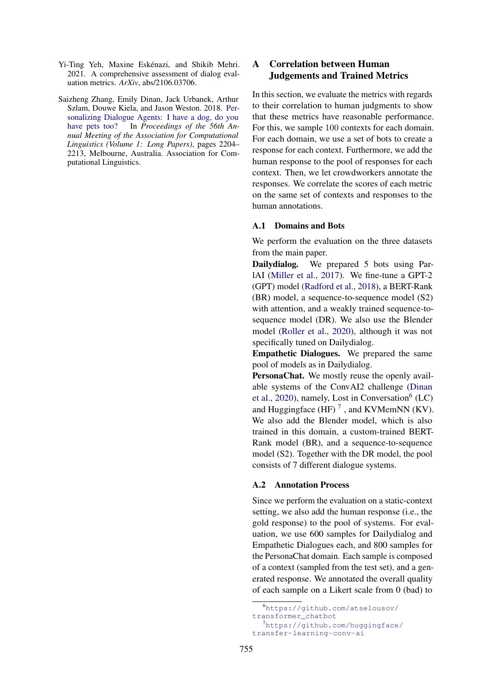- <span id="page-5-0"></span>Yi-Ting Yeh, Maxine Eskénazi, and Shikib Mehri. 2021. A comprehensive assessment of dialog evaluation metrics. *ArXiv*, abs/2106.03706.
- <span id="page-5-1"></span>Saizheng Zhang, Emily Dinan, Jack Urbanek, Arthur Szlam, Douwe Kiela, and Jason Weston. 2018. [Per](https://doi.org/10.18653/v1/P18-1205)[sonalizing Dialogue Agents: I have a dog, do you](https://doi.org/10.18653/v1/P18-1205) [have pets too?](https://doi.org/10.18653/v1/P18-1205) In *Proceedings of the 56th Annual Meeting of the Association for Computational Linguistics (Volume 1: Long Papers)*, pages 2204– 2213, Melbourne, Australia. Association for Computational Linguistics.

# <span id="page-5-2"></span>A Correlation between Human Judgements and Trained Metrics

In this section, we evaluate the metrics with regards to their correlation to human judgments to show that these metrics have reasonable performance. For this, we sample 100 contexts for each domain. For each domain, we use a set of bots to create a response for each context. Furthermore, we add the human response to the pool of responses for each context. Then, we let crowdworkers annotate the responses. We correlate the scores of each metric on the same set of contexts and responses to the human annotations.

### A.1 Domains and Bots

We perform the evaluation on the three datasets from the main paper.

Dailydialog. We prepared 5 bots using ParlAI [\(Miller et al.,](#page-4-15) [2017\)](#page-4-15). We fine-tune a GPT-2 (GPT) model [\(Radford et al.,](#page-4-16) [2018\)](#page-4-16), a BERT-Rank (BR) model, a sequence-to-sequence model (S2) with attention, and a weakly trained sequence-tosequence model (DR). We also use the Blender model [\(Roller et al.,](#page-4-14) [2020\)](#page-4-14), although it was not specifically tuned on Dailydialog.

Empathetic Dialogues. We prepared the same pool of models as in Dailydialog.

PersonaChat. We mostly reuse the openly available systems of the ConvAI2 challenge [\(Dinan](#page-4-17) [et al.,](#page-4-17) [2020\)](#page-4-17), namely, Lost in Conversation<sup>[6](#page-5-3)</sup> (LC) and Huggingface  $(HF)^7$  $(HF)^7$ , and KVMemNN (KV). We also add the Blender model, which is also trained in this domain, a custom-trained BERT-Rank model (BR), and a sequence-to-sequence model (S2). Together with the DR model, the pool consists of 7 different dialogue systems.

### A.2 Annotation Process

Since we perform the evaluation on a static-context setting, we also add the human response (i.e., the gold response) to the pool of systems. For evaluation, we use 600 samples for Dailydialog and Empathetic Dialogues each, and 800 samples for the PersonaChat domain. Each sample is composed of a context (sampled from the test set), and a generated response. We annotated the overall quality of each sample on a Likert scale from 0 (bad) to

<span id="page-5-3"></span><sup>6</sup>[https://github.com/atselousov/](https://github.com/atselousov/transformer_chatbot) [transformer\\_chatbot](https://github.com/atselousov/transformer_chatbot)

<span id="page-5-4"></span><sup>7</sup>[https://github.com/huggingface/](https://github.com/huggingface/transfer-learning-conv-ai) [transfer-learning-conv-ai](https://github.com/huggingface/transfer-learning-conv-ai)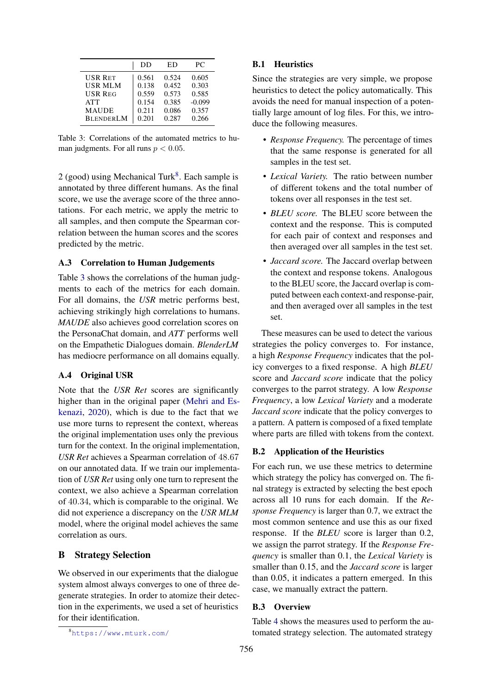<span id="page-6-2"></span>

|                  | DD    | ED    | PС       |
|------------------|-------|-------|----------|
| <b>USR RET</b>   | 0.561 | 0.524 | 0.605    |
| <b>USR MLM</b>   | 0.138 | 0.452 | 0.303    |
| <b>USR REG</b>   | 0.559 | 0.573 | 0.585    |
| <b>ATT</b>       | 0.154 | 0.385 | $-0.099$ |
| <b>MAUDE</b>     | 0.211 | 0.086 | 0.357    |
| <b>BLENDERLM</b> | 0.201 | 0.287 | 0.266    |

Table 3: Correlations of the automated metrics to human judgments. For all runs  $p < 0.05$ .

 $2$  (good) using Mechanical Turk $8$ . Each sample is annotated by three different humans. As the final score, we use the average score of the three annotations. For each metric, we apply the metric to all samples, and then compute the Spearman correlation between the human scores and the scores predicted by the metric.

### A.3 Correlation to Human Judgements

Table [3](#page-6-2) shows the correlations of the human judgments to each of the metrics for each domain. For all domains, the *USR* metric performs best, achieving strikingly high correlations to humans. *MAUDE* also achieves good correlation scores on the PersonaChat domain, and *ATT* performs well on the Empathetic Dialogues domain. *BlenderLM* has mediocre performance on all domains equally.

### A.4 Original USR

Note that the *USR Ret* scores are significantly higher than in the original paper [\(Mehri and Es](#page-4-4)[kenazi,](#page-4-4) [2020\)](#page-4-4), which is due to the fact that we use more turns to represent the context, whereas the original implementation uses only the previous turn for the context. In the original implementation, *USR Ret* achieves a Spearman correlation of 48.67 on our annotated data. If we train our implementation of *USR Ret* using only one turn to represent the context, we also achieve a Spearman correlation of 40.34, which is comparable to the original. We did not experience a discrepancy on the *USR MLM* model, where the original model achieves the same correlation as ours.

### <span id="page-6-0"></span>B Strategy Selection

We observed in our experiments that the dialogue system almost always converges to one of three degenerate strategies. In order to atomize their detection in the experiments, we used a set of heuristics for their identification.

### B.1 Heuristics

Since the strategies are very simple, we propose heuristics to detect the policy automatically. This avoids the need for manual inspection of a potentially large amount of log files. For this, we introduce the following measures.

- *Response Frequency.* The percentage of times that the same response is generated for all samples in the test set.
- *Lexical Variety.* The ratio between number of different tokens and the total number of tokens over all responses in the test set.
- *BLEU score.* The BLEU score between the context and the response. This is computed for each pair of context and responses and then averaged over all samples in the test set.
- *Jaccard score.* The Jaccard overlap between the context and response tokens. Analogous to the BLEU score, the Jaccard overlap is computed between each context-and response-pair, and then averaged over all samples in the test set.

These measures can be used to detect the various strategies the policy converges to. For instance, a high *Response Frequency* indicates that the policy converges to a fixed response. A high *BLEU* score and *Jaccard score* indicate that the policy converges to the parrot strategy. A low *Response Frequency*, a low *Lexical Variety* and a moderate *Jaccard score* indicate that the policy converges to a pattern. A pattern is composed of a fixed template where parts are filled with tokens from the context.

### B.2 Application of the Heuristics

For each run, we use these metrics to determine which strategy the policy has converged on. The final strategy is extracted by selecting the best epoch across all 10 runs for each domain. If the *Response Frequency* is larger than 0.7, we extract the most common sentence and use this as our fixed response. If the *BLEU* score is larger than 0.2, we assign the parrot strategy. If the *Response Frequency* is smaller than 0.1, the *Lexical Variety* is smaller than 0.15, and the *Jaccard score* is larger than 0.05, it indicates a pattern emerged. In this case, we manually extract the pattern.

### B.3 Overview

Table [4](#page-7-0) shows the measures used to perform the automated strategy selection. The automated strategy

<span id="page-6-1"></span><sup>8</sup><https://www.mturk.com/>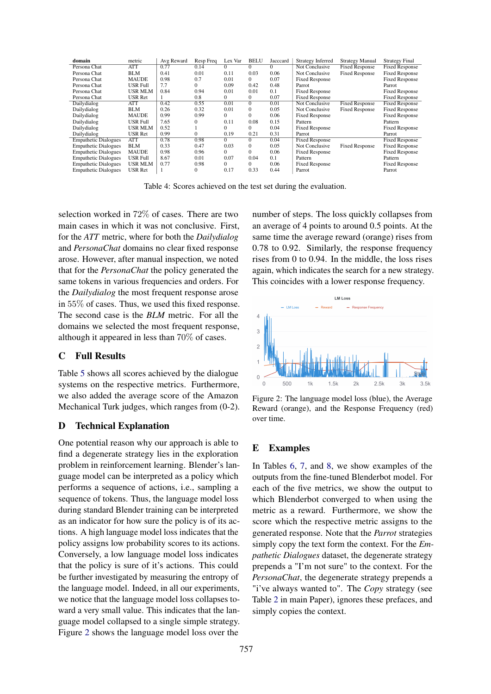<span id="page-7-0"></span>

| domain                      | metric          | Avg Reward | Resp Freq    | Lex Var  | <b>BELU</b>  | Jacccard | Strategy Inferred     | <b>Strategy Manual</b> | <b>Strategy Final</b> |
|-----------------------------|-----------------|------------|--------------|----------|--------------|----------|-----------------------|------------------------|-----------------------|
| Persona Chat                | <b>ATT</b>      | 0.77       | 0.14         | $\Omega$ | $\Omega$     | $\Omega$ | Not Conclusive        | <b>Fixed Response</b>  | <b>Fixed Response</b> |
| Persona Chat                | <b>BLM</b>      | 0.41       | 0.01         | 0.11     | 0.03         | 0.06     | Not Conclusive        | <b>Fixed Response</b>  | <b>Fixed Response</b> |
| Persona Chat                | <b>MAUDE</b>    | 0.98       | 0.7          | 0.01     | $\mathbf{0}$ | 0.07     | <b>Fixed Response</b> |                        | <b>Fixed Response</b> |
| Persona Chat                | <b>USR Full</b> | 7.7        | $\Omega$     | 0.09     | 0.42         | 0.48     | Parrot                |                        | Parrot                |
| Persona Chat                | <b>USR MLM</b>  | 0.84       | 0.94         | 0.01     | 0.01         | 0.1      | <b>Fixed Response</b> |                        | <b>Fixed Response</b> |
| Persona Chat                | <b>USR Ret</b>  |            | 0.8          | $\Omega$ | $\mathbf{0}$ | 0.07     | <b>Fixed Response</b> |                        | <b>Fixed Response</b> |
| Dailydialog                 | <b>ATT</b>      | 0.42       | 0.55         | 0.01     | $\Omega$     | 0.01     | Not Conclusive        | <b>Fixed Response</b>  | <b>Fixed Response</b> |
| Dailydialog                 | <b>BLM</b>      | 0.26       | 0.32         | 0.01     | $\mathbf{0}$ | 0.05     | Not Conclusive        | <b>Fixed Response</b>  | <b>Fixed Response</b> |
| Dailydialog                 | <b>MAUDE</b>    | 0.99       | 0.99         | $\Omega$ | $\Omega$     | 0.06     | <b>Fixed Response</b> |                        | <b>Fixed Response</b> |
| Dailydialog                 | <b>USR Full</b> | 7.65       | $\Omega$     | 0.11     | 0.08         | 0.15     | Pattern               |                        | Pattern               |
| Dailydialog                 | USR MLM         | 0.52       |              | $\Omega$ | $\Omega$     | 0.04     | <b>Fixed Response</b> |                        | <b>Fixed Response</b> |
| Dailydialog                 | <b>USR Ret</b>  | 0.99       | $\Omega$     | 0.19     | 0.21         | 0.31     | Parrot                |                        | Parrot                |
| <b>Empathetic Dialogues</b> | <b>ATT</b>      | 0.78       | 0.98         | $\Omega$ | $\mathbf{0}$ | 0.04     | <b>Fixed Response</b> |                        | <b>Fixed Response</b> |
| <b>Empathetic Dialogues</b> | <b>BLM</b>      | 0.33       | 0.47         | 0.03     | $\mathbf{0}$ | 0.05     | Not Conclusive        | <b>Fixed Response</b>  | <b>Fixed Response</b> |
| <b>Empathetic Dialogues</b> | <b>MAUDE</b>    | 0.98       | 0.96         | $\Omega$ | $\mathbf{0}$ | 0.06     | <b>Fixed Response</b> |                        | <b>Fixed Response</b> |
| <b>Empathetic Dialogues</b> | <b>USR Full</b> | 8.67       | 0.01         | 0.07     | 0.04         | 0.1      | Pattern               |                        | Pattern               |
| <b>Empathetic Dialogues</b> | USR MLM         | 0.77       | 0.98         | $\Omega$ | $\mathbf{0}$ | 0.06     | <b>Fixed Response</b> |                        | <b>Fixed Response</b> |
| <b>Empathetic Dialogues</b> | <b>USR Ret</b>  | 1          | $\mathbf{0}$ | 0.17     | 0.33         | 0.44     | Parrot                |                        | Parrot                |

Table 4: Scores achieved on the test set during the evaluation.

selection worked in 72% of cases. There are two main cases in which it was not conclusive. First, for the *ATT* metric, where for both the *Dailydialog* and *PersonaChat* domains no clear fixed response arose. However, after manual inspection, we noted that for the *PersonaChat* the policy generated the same tokens in various frequencies and orders. For the *Dailydialog* the most frequent response arose in 55% of cases. Thus, we used this fixed response. The second case is the *BLM* metric. For all the domains we selected the most frequent response, although it appeared in less than 70% of cases.

# C Full Results

Table [5](#page-8-0) shows all scores achieved by the dialogue systems on the respective metrics. Furthermore, we also added the average score of the Amazon Mechanical Turk judges, which ranges from (0-2).

### D Technical Explanation

One potential reason why our approach is able to find a degenerate strategy lies in the exploration problem in reinforcement learning. Blender's language model can be interpreted as a policy which performs a sequence of actions, i.e., sampling a sequence of tokens. Thus, the language model loss during standard Blender training can be interpreted as an indicator for how sure the policy is of its actions. A high language model loss indicates that the policy assigns low probability scores to its actions. Conversely, a low language model loss indicates that the policy is sure of it's actions. This could be further investigated by measuring the entropy of the language model. Indeed, in all our experiments, we notice that the language model loss collapses toward a very small value. This indicates that the language model collapsed to a single simple strategy. Figure [2](#page-7-1) shows the language model loss over the

number of steps. The loss quickly collapses from an average of 4 points to around 0.5 points. At the same time the average reward (orange) rises from 0.78 to 0.92. Similarly, the response frequency rises from 0 to 0.94. In the middle, the loss rises again, which indicates the search for a new strategy. This coincides with a lower response frequency.

<span id="page-7-1"></span>

Figure 2: The language model loss (blue), the Average Reward (orange), and the Response Frequency (red) over time.

### E Examples

In Tables [6,](#page-9-0) [7,](#page-10-0) and [8,](#page-11-0) we show examples of the outputs from the fine-tuned Blenderbot model. For each of the five metrics, we show the output to which Blenderbot converged to when using the metric as a reward. Furthermore, we show the score which the respective metric assigns to the generated response. Note that the *Parrot* strategies simply copy the text form the context. For the *Empathetic Dialogues* dataset, the degenerate strategy prepends a "I'm not sure" to the context. For the *PersonaChat*, the degenerate strategy prepends a "i've always wanted to". The *Copy* strategy (see Table [2](#page-3-0) in main Paper), ignores these prefaces, and simply copies the context.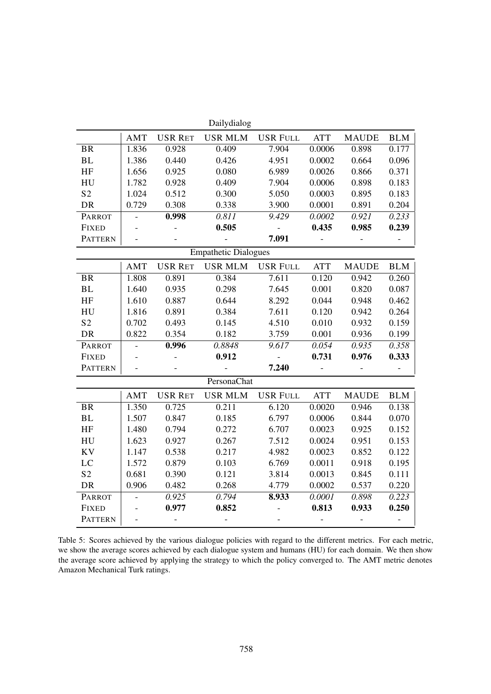<span id="page-8-0"></span>

| Dailydialog      |                          |                |                             |                 |            |              |            |
|------------------|--------------------------|----------------|-----------------------------|-----------------|------------|--------------|------------|
|                  | <b>AMT</b>               | <b>USR RET</b> | <b>USR MLM</b>              | <b>USR FULL</b> | <b>ATT</b> | <b>MAUDE</b> | <b>BLM</b> |
| <b>BR</b>        | 1.836                    | 0.928          | 0.409                       | 7.904           | 0.0006     | 0.898        | 0.177      |
| <b>BL</b>        | 1.386                    | 0.440          | 0.426                       | 4.951           | 0.0002     | 0.664        | 0.096      |
| HF               | 1.656                    | 0.925          | 0.080                       | 6.989           | 0.0026     | 0.866        | 0.371      |
| HU               | 1.782                    | 0.928          | 0.409                       | 7.904           | 0.0006     | 0.898        | 0.183      |
| S <sub>2</sub>   | 1.024                    | 0.512          | 0.300                       | 5.050           | 0.0003     | 0.895        | 0.183      |
| DR               | 0.729                    | 0.308          | 0.338                       | 3.900           | 0.0001     | 0.891        | 0.204      |
| PARROT           | $\frac{1}{2}$            | 0.998          | 0.811                       | 9.429           | 0.0002     | 0.921        | 0.233      |
| <b>FIXED</b>     |                          |                | 0.505                       |                 | 0.435      | 0.985        | 0.239      |
| <b>PATTERN</b>   | $\overline{a}$           |                |                             | 7.091           |            |              |            |
|                  |                          |                | <b>Empathetic Dialogues</b> |                 |            |              |            |
|                  | <b>AMT</b>               | <b>USR RET</b> | <b>USR MLM</b>              | <b>USR FULL</b> | <b>ATT</b> | <b>MAUDE</b> | <b>BLM</b> |
| <b>BR</b>        | 1.808                    | 0.891          | 0.384                       | 7.611           | 0.120      | 0.942        | 0.260      |
| BL               | 1.640                    | 0.935          | 0.298                       | 7.645           | 0.001      | 0.820        | 0.087      |
| HF               | 1.610                    | 0.887          | 0.644                       | 8.292           | 0.044      | 0.948        | 0.462      |
| HU               | 1.816                    | 0.891          | 0.384                       | 7.611           | 0.120      | 0.942        | 0.264      |
| S <sub>2</sub>   | 0.702                    | 0.493          | 0.145                       | 4.510           | 0.010      | 0.932        | 0.159      |
| <b>DR</b>        | 0.822                    | 0.354          | 0.182                       | 3.759           | 0.001      | 0.936        | 0.199      |
| PARROT           | $\overline{a}$           | 0.996          | 0.8848                      | 9.617           | 0.054      | 0.935        | 0.358      |
| <b>FIXED</b>     |                          |                | 0.912                       | $\blacksquare$  | 0.731      | 0.976        | 0.333      |
| <b>PATTERN</b>   |                          |                |                             | 7.240           |            |              |            |
|                  |                          |                | PersonaChat                 |                 |            |              |            |
|                  | AMT                      | <b>USR RET</b> | <b>USR MLM</b>              | <b>USR FULL</b> | <b>ATT</b> | <b>MAUDE</b> | <b>BLM</b> |
| <b>BR</b>        | 1.350                    | 0.725          | 0.211                       | 6.120           | 0.0020     | 0.946        | 0.138      |
| BL               | 1.507                    | 0.847          | 0.185                       | 6.797           | 0.0006     | 0.844        | 0.070      |
| $\rm HF$         | 1.480                    | 0.794          | 0.272                       | 6.707           | 0.0023     | 0.925        | 0.152      |
| ${\rm H}{\rm U}$ | 1.623                    | 0.927          | 0.267                       | 7.512           | 0.0024     | 0.951        | 0.153      |
| <b>KV</b>        | 1.147                    | 0.538          | 0.217                       | 4.982           | 0.0023     | 0.852        | 0.122      |
| LC               | 1.572                    | 0.879          | 0.103                       | 6.769           | 0.0011     | 0.918        | 0.195      |
| S <sub>2</sub>   | 0.681                    | 0.390          | 0.121                       | 3.814           | 0.0013     | 0.845        | 0.111      |
| <b>DR</b>        | 0.906                    | 0.482          | 0.268                       | 4.779           | 0.0002     | 0.537        | 0.220      |
| PARROT           | $\frac{1}{2}$            | 0.925          | 0.794                       | 8.933           | 0.0001     | 0.898        | 0.223      |
| <b>FIXED</b>     | $\overline{\phantom{m}}$ | 0.977          | 0.852                       |                 | 0.813      | 0.933        | 0.250      |
| <b>PATTERN</b>   | $\frac{1}{2}$            |                |                             |                 |            |              |            |

Table 5: Scores achieved by the various dialogue policies with regard to the different metrics. For each metric, we show the average scores achieved by each dialogue system and humans (HU) for each domain. We then show the average score achieved by applying the strategy to which the policy converged to. The AMT metric denotes Amazon Mechanical Turk ratings.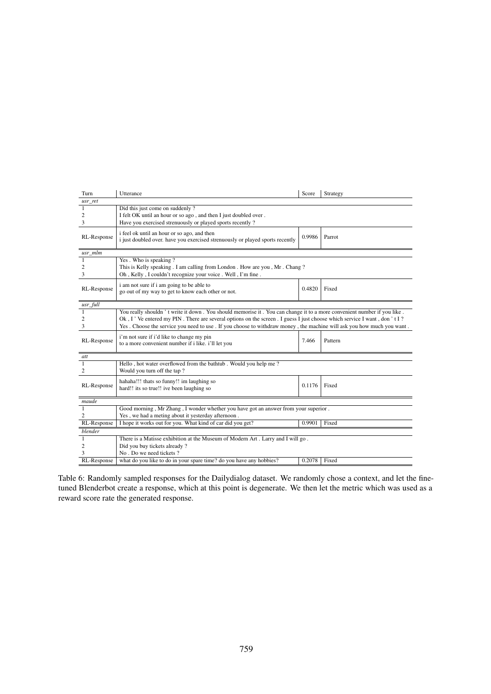<span id="page-9-0"></span>

| Turn        | Utterance                                                                                                                                                                                                                                                                                                                                                                   | Score  | Strategy |  |  |  |
|-------------|-----------------------------------------------------------------------------------------------------------------------------------------------------------------------------------------------------------------------------------------------------------------------------------------------------------------------------------------------------------------------------|--------|----------|--|--|--|
| usr_ret     |                                                                                                                                                                                                                                                                                                                                                                             |        |          |  |  |  |
| 1<br>2<br>3 | Did this just come on suddenly?<br>I felt OK until an hour or so ago, and then I just doubled over.<br>Have you exercised strenuously or played sports recently?                                                                                                                                                                                                            |        |          |  |  |  |
| RL-Response | i feel ok until an hour or so ago, and then<br>0.9986<br>Parrot<br>i just doubled over. have you exercised strenuously or played sports recently                                                                                                                                                                                                                            |        |          |  |  |  |
| usr_mlm     |                                                                                                                                                                                                                                                                                                                                                                             |        |          |  |  |  |
| 1<br>2<br>3 | Yes. Who is speaking?<br>This is Kelly speaking . I am calling from London . How are you , Mr . Chang ?<br>Oh, Kelly, I couldn't recognize your voice. Well, I'm fine.                                                                                                                                                                                                      |        |          |  |  |  |
| RL-Response | i am not sure if i am going to be able to<br>go out of my way to get to know each other or not.                                                                                                                                                                                                                                                                             | 0.4820 | Fixed    |  |  |  |
| usr_full    |                                                                                                                                                                                                                                                                                                                                                                             |        |          |  |  |  |
| 1<br>2<br>3 | You really shouldn't write it down. You should memorise it. You can change it to a more convenient number if you like.<br>Ok, I' Ve entered my PIN. There are several options on the screen . I guess I just choose which service I want, don't I?<br>Yes. Choose the service you need to use. If you choose to withdraw money, the machine will ask you how much you want. |        |          |  |  |  |
| RL-Response | i'm not sure if i'd like to change my pin<br>to a more convenient number if i like. i'll let you                                                                                                                                                                                                                                                                            | 7.466  | Pattern  |  |  |  |
| att         |                                                                                                                                                                                                                                                                                                                                                                             |        |          |  |  |  |
| 1<br>2      | Hello, hot water overflowed from the bathtub. Would you help me?<br>Would you turn off the tap?                                                                                                                                                                                                                                                                             |        |          |  |  |  |
| RL-Response | hahaha!!! thats so funny!! im laughing so<br>hard!! its so true!! ive been laughing so                                                                                                                                                                                                                                                                                      | 0.1176 | Fixed    |  |  |  |
| maude       |                                                                                                                                                                                                                                                                                                                                                                             |        |          |  |  |  |
| 1<br>2      | Good morning, Mr Zhang, I wonder whether you have got an answer from your superior.<br>Yes, we had a meting about it yesterday afternoon.                                                                                                                                                                                                                                   |        |          |  |  |  |
| RL-Response | I hope it works out for you. What kind of car did you get?                                                                                                                                                                                                                                                                                                                  | 0.9901 | Fixed    |  |  |  |
| blender     |                                                                                                                                                                                                                                                                                                                                                                             |        |          |  |  |  |
| 1           | There is a Matisse exhibition at the Museum of Modern Art . Larry and I will go .                                                                                                                                                                                                                                                                                           |        |          |  |  |  |
| 2           | Did you buy tickets already?                                                                                                                                                                                                                                                                                                                                                |        |          |  |  |  |
| 3           | No. Do we need tickets?                                                                                                                                                                                                                                                                                                                                                     |        |          |  |  |  |
| RL-Response | what do you like to do in your spare time? do you have any hobbies?                                                                                                                                                                                                                                                                                                         | 0.2078 | Fixed    |  |  |  |

Table 6: Randomly sampled responses for the Dailydialog dataset. We randomly chose a context, and let the finetuned Blenderbot create a response, which at this point is degenerate. We then let the metric which was used as a reward score rate the generated response.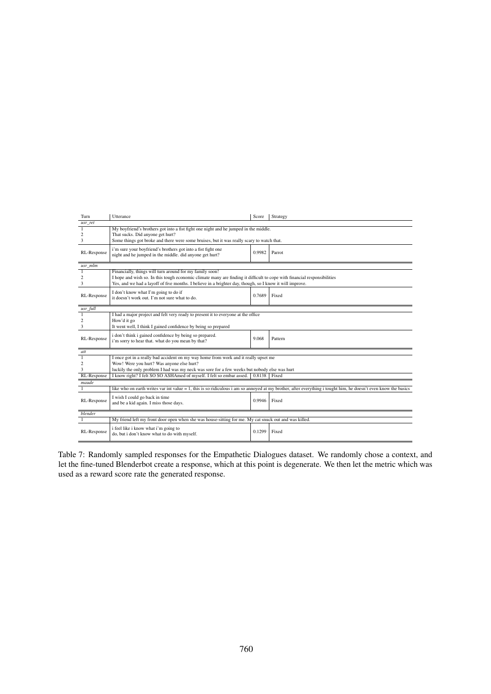<span id="page-10-0"></span>

| Turn           | Utterance                                                                                                                | Score  | Strategy                                                                                                                                                        |  |  |  |
|----------------|--------------------------------------------------------------------------------------------------------------------------|--------|-----------------------------------------------------------------------------------------------------------------------------------------------------------------|--|--|--|
| usr_ret        |                                                                                                                          |        |                                                                                                                                                                 |  |  |  |
| 1              | My boyfriend's brothers got into a fist fight one night and he jumped in the middle.                                     |        |                                                                                                                                                                 |  |  |  |
| $\overline{c}$ | That sucks. Did anyone get hurt?                                                                                         |        |                                                                                                                                                                 |  |  |  |
| 3              | Some things got broke and there were some bruises, but it was really scary to watch that.                                |        |                                                                                                                                                                 |  |  |  |
| RL-Response    | i'm sure your boyfriend's brothers got into a fist fight one<br>night and he jumped in the middle. did anyone get hurt?  | 0.9982 | Parrot                                                                                                                                                          |  |  |  |
| usr mlm        |                                                                                                                          |        |                                                                                                                                                                 |  |  |  |
| 1              | Financially, things will turn around for my family soon!                                                                 |        |                                                                                                                                                                 |  |  |  |
| 2              | I hope and wish so. In this tough economic climate many are finding it difficult to cope with financial responsibilities |        |                                                                                                                                                                 |  |  |  |
| 3              | Yes, and we had a layoff of five months. I believe in a brighter day, though, so I know it will improve.                 |        |                                                                                                                                                                 |  |  |  |
| RL-Response    | I don't know what I'm going to do if<br>it doesn't work out. I'm not sure what to do.                                    | 0.7689 | Fixed                                                                                                                                                           |  |  |  |
| usr_full       |                                                                                                                          |        |                                                                                                                                                                 |  |  |  |
| -1             | I had a major project and felt very ready to present it to everyone at the office                                        |        |                                                                                                                                                                 |  |  |  |
| 2              | How'd it go                                                                                                              |        |                                                                                                                                                                 |  |  |  |
| 3              | It went well, I think I gained confidence by being so prepared                                                           |        |                                                                                                                                                                 |  |  |  |
| RL-Response    | i don't think i gained confidence by being so prepared.<br>i'm sorry to hear that. what do you mean by that?             | 9.068  | Pattern                                                                                                                                                         |  |  |  |
| att            |                                                                                                                          |        |                                                                                                                                                                 |  |  |  |
| $\mathbf{1}$   | I once got in a really bad accident on my way home from work and it really upset me                                      |        |                                                                                                                                                                 |  |  |  |
| 2              | Wow! Were you hurt? Was anyone else hurt?                                                                                |        |                                                                                                                                                                 |  |  |  |
| 3              | luckily the only problem I had was my neck was sore for a few weeks but nobody else was hurt                             |        |                                                                                                                                                                 |  |  |  |
| RL-Response    | I know right? I felt SO SO ASHAmed of myself. I felt so embar assed.                                                     | 0.8138 | Fixed                                                                                                                                                           |  |  |  |
| maude          |                                                                                                                          |        |                                                                                                                                                                 |  |  |  |
| 1              |                                                                                                                          |        | like who on earth writes var int value = 1, this is so ridiculous i am so annoved at my brother, after everything i tought him, he doesn't even know the basics |  |  |  |
| RL-Response    | I wish I could go back in time<br>and be a kid again. I miss those days.                                                 | 0.9946 | Fixed                                                                                                                                                           |  |  |  |
|                |                                                                                                                          |        |                                                                                                                                                                 |  |  |  |
| blender        |                                                                                                                          |        |                                                                                                                                                                 |  |  |  |
| $\mathbf{1}$   | My friend left my front door open when she was house-sitting for me. My cat snuck out and was killed.                    |        |                                                                                                                                                                 |  |  |  |
| RL-Response    | i feel like i know what i'm going to<br>do, but i don't know what to do with myself.                                     | 0.1299 | Fixed                                                                                                                                                           |  |  |  |

Table 7: Randomly sampled responses for the Empathetic Dialogues dataset. We randomly chose a context, and let the fine-tuned Blenderbot create a response, which at this point is degenerate. We then let the metric which was used as a reward score rate the generated response.